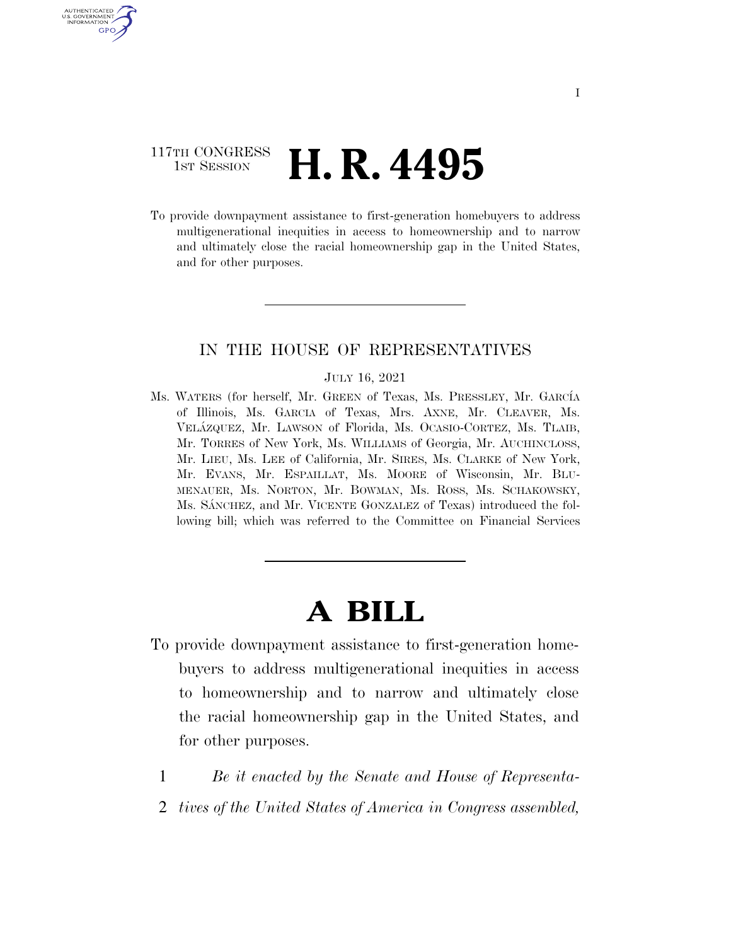# 117TH CONGRESS **HE CONGRESS H. R. 4495**

AUTHENTICATED U.S. GOVERNMENT GPO

> To provide downpayment assistance to first-generation homebuyers to address multigenerational inequities in access to homeownership and to narrow and ultimately close the racial homeownership gap in the United States, and for other purposes.

# IN THE HOUSE OF REPRESENTATIVES

#### JULY 16, 2021

Ms. WATERS (for herself, Mr. GREEN of Texas, Ms. PRESSLEY, Mr. GARCÍA of Illinois, Ms. GARCIA of Texas, Mrs. AXNE, Mr. CLEAVER, Ms. VELA´ZQUEZ, Mr. LAWSON of Florida, Ms. OCASIO-CORTEZ, Ms. TLAIB, Mr. TORRES of New York, Ms. WILLIAMS of Georgia, Mr. AUCHINCLOSS, Mr. LIEU, Ms. LEE of California, Mr. SIRES, Ms. CLARKE of New York, Mr. EVANS, Mr. ESPAILLAT, Ms. MOORE of Wisconsin, Mr. BLU-MENAUER, Ms. NORTON, Mr. BOWMAN, Ms. ROSS, Ms. SCHAKOWSKY, Ms. SANCHEZ, and Mr. VICENTE GONZALEZ of Texas) introduced the following bill; which was referred to the Committee on Financial Services

# **A BILL**

- To provide downpayment assistance to first-generation homebuyers to address multigenerational inequities in access to homeownership and to narrow and ultimately close the racial homeownership gap in the United States, and for other purposes.
	- 1 *Be it enacted by the Senate and House of Representa-*
	- 2 *tives of the United States of America in Congress assembled,*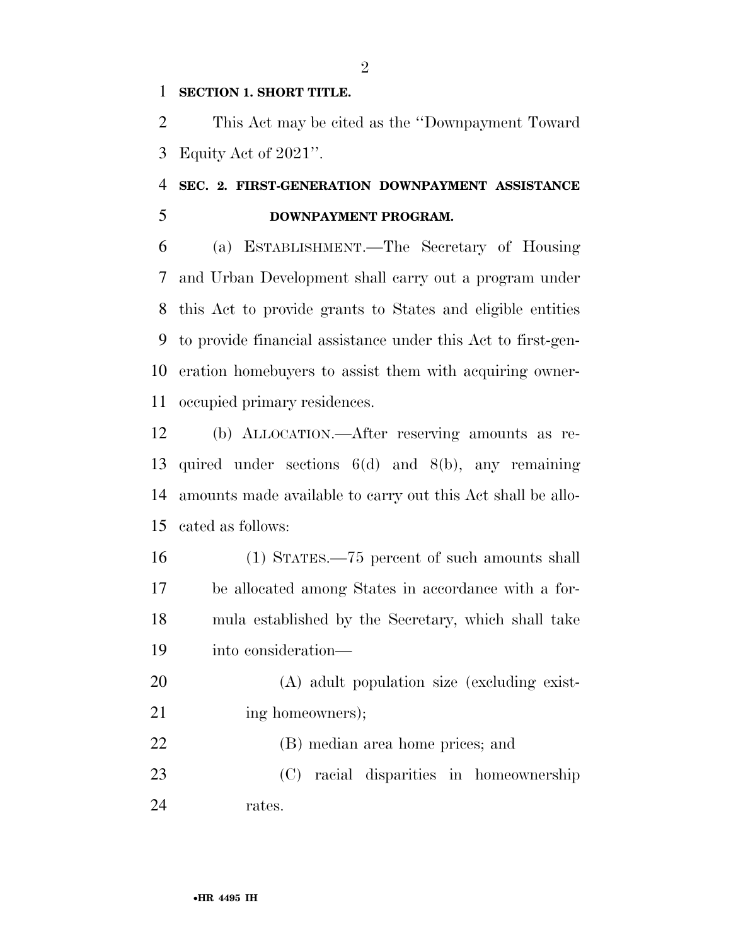# **SECTION 1. SHORT TITLE.**

 This Act may be cited as the ''Downpayment Toward Equity Act of 2021''.

# **SEC. 2. FIRST-GENERATION DOWNPAYMENT ASSISTANCE DOWNPAYMENT PROGRAM.**

 (a) ESTABLISHMENT.—The Secretary of Housing and Urban Development shall carry out a program under this Act to provide grants to States and eligible entities to provide financial assistance under this Act to first-gen- eration homebuyers to assist them with acquiring owner-occupied primary residences.

 (b) ALLOCATION.—After reserving amounts as re- quired under sections 6(d) and 8(b), any remaining amounts made available to carry out this Act shall be allo-cated as follows:

 (1) STATES.—75 percent of such amounts shall be allocated among States in accordance with a for- mula established by the Secretary, which shall take into consideration—

 (A) adult population size (excluding exist-21 ing homeowners);

 (B) median area home prices; and (C) racial disparities in homeownership rates.

 $\mathfrak{D}$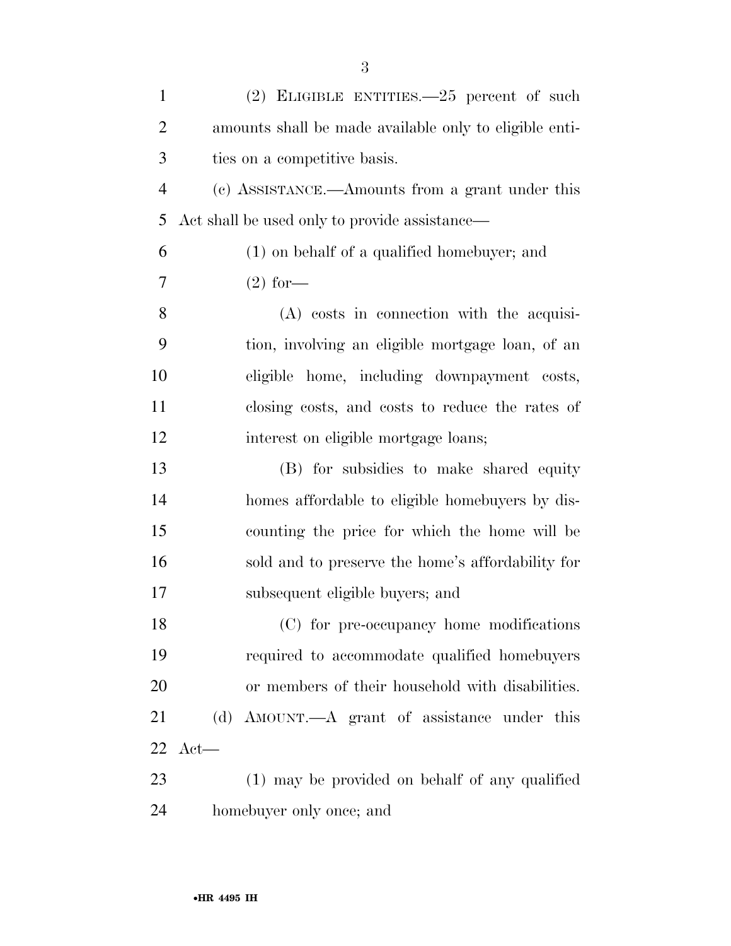| $\mathbf{1}$   | $(2)$ ELIGIBLE ENTITIES. $-25$ percent of such         |
|----------------|--------------------------------------------------------|
| $\overline{2}$ | amounts shall be made available only to eligible enti- |
| 3              | ties on a competitive basis.                           |
| $\overline{4}$ | (c) ASSISTANCE.—Amounts from a grant under this        |
| 5              | Act shall be used only to provide assistance—          |
| 6              | (1) on behalf of a qualified homebuyer; and            |
| 7              | $(2)$ for—                                             |
| 8              | $(A)$ costs in connection with the acquisi-            |
| 9              | tion, involving an eligible mortgage loan, of an       |
| 10             | eligible home, including downpayment costs,            |
| 11             | closing costs, and costs to reduce the rates of        |
| 12             | interest on eligible mortgage loans;                   |
| 13             | (B) for subsidies to make shared equity                |
| 14             | homes affordable to eligible homebuyers by dis-        |
| 15             | counting the price for which the home will be          |
| 16             | sold and to preserve the home's affordability for      |
| 17             | subsequent eligible buyers; and                        |
| 18             | (C) for pre-occupancy home modifications               |
| 19             | required to accommodate qualified homebuyers           |
| 20             | or members of their household with disabilities.       |
| 21             | (d) AMOUNT.—A grant of assistance under this           |
| 22             | $Act$ —                                                |
| 23             | (1) may be provided on behalf of any qualified         |
| 24             | homebuyer only once; and                               |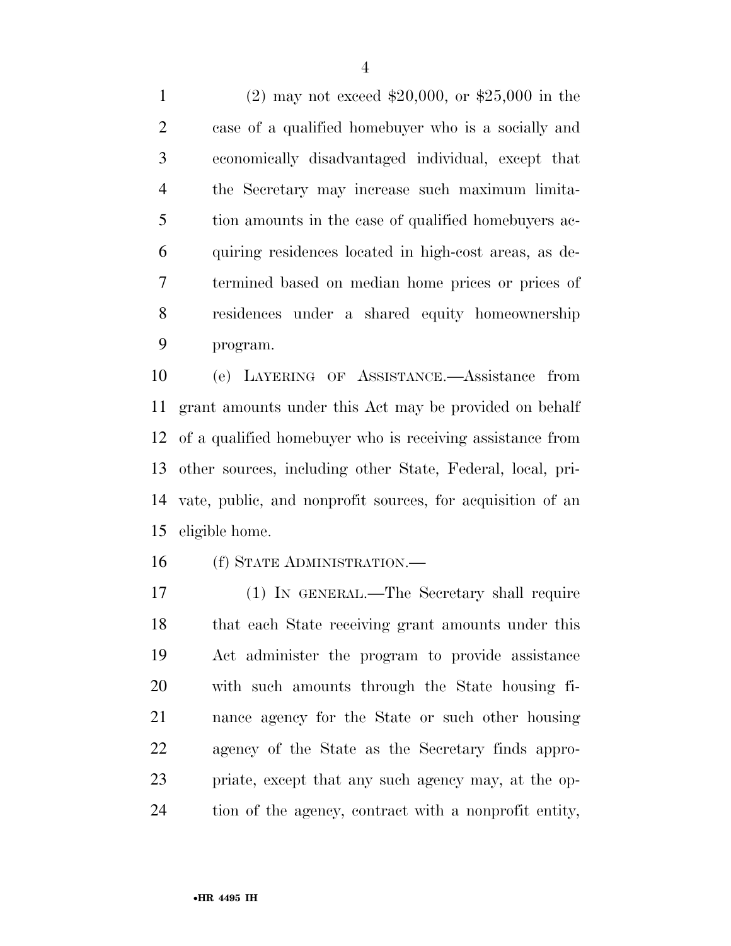(2) may not exceed \$20,000, or \$25,000 in the case of a qualified homebuyer who is a socially and economically disadvantaged individual, except that the Secretary may increase such maximum limita- tion amounts in the case of qualified homebuyers ac- quiring residences located in high-cost areas, as de- termined based on median home prices or prices of residences under a shared equity homeownership program.

 (e) LAYERING OF ASSISTANCE.—Assistance from grant amounts under this Act may be provided on behalf of a qualified homebuyer who is receiving assistance from other sources, including other State, Federal, local, pri- vate, public, and nonprofit sources, for acquisition of an eligible home.

(f) STATE ADMINISTRATION.—

 (1) IN GENERAL.—The Secretary shall require that each State receiving grant amounts under this Act administer the program to provide assistance with such amounts through the State housing fi- nance agency for the State or such other housing agency of the State as the Secretary finds appro- priate, except that any such agency may, at the op-tion of the agency, contract with a nonprofit entity,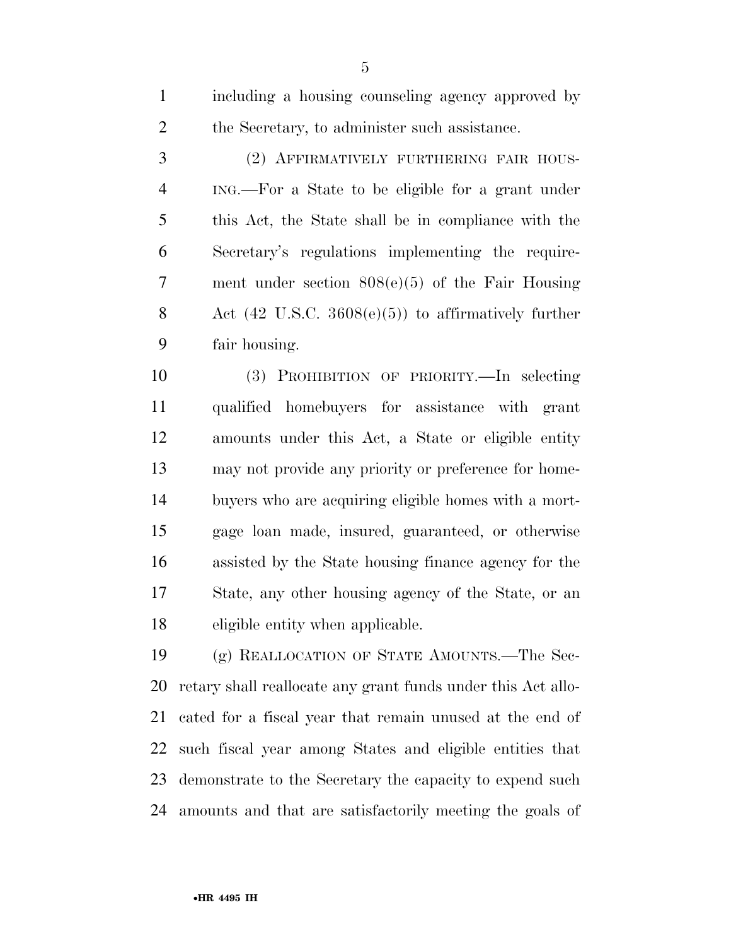including a housing counseling agency approved by the Secretary, to administer such assistance.

 (2) AFFIRMATIVELY FURTHERING FAIR HOUS- ING.—For a State to be eligible for a grant under this Act, the State shall be in compliance with the Secretary's regulations implementing the require- ment under section 808(e)(5) of the Fair Housing Act (42 U.S.C. 3608(e)(5)) to affirmatively further fair housing.

 (3) PROHIBITION OF PRIORITY.—In selecting qualified homebuyers for assistance with grant amounts under this Act, a State or eligible entity may not provide any priority or preference for home- buyers who are acquiring eligible homes with a mort- gage loan made, insured, guaranteed, or otherwise assisted by the State housing finance agency for the State, any other housing agency of the State, or an eligible entity when applicable.

 (g) REALLOCATION OF STATE AMOUNTS.—The Sec- retary shall reallocate any grant funds under this Act allo- cated for a fiscal year that remain unused at the end of such fiscal year among States and eligible entities that demonstrate to the Secretary the capacity to expend such amounts and that are satisfactorily meeting the goals of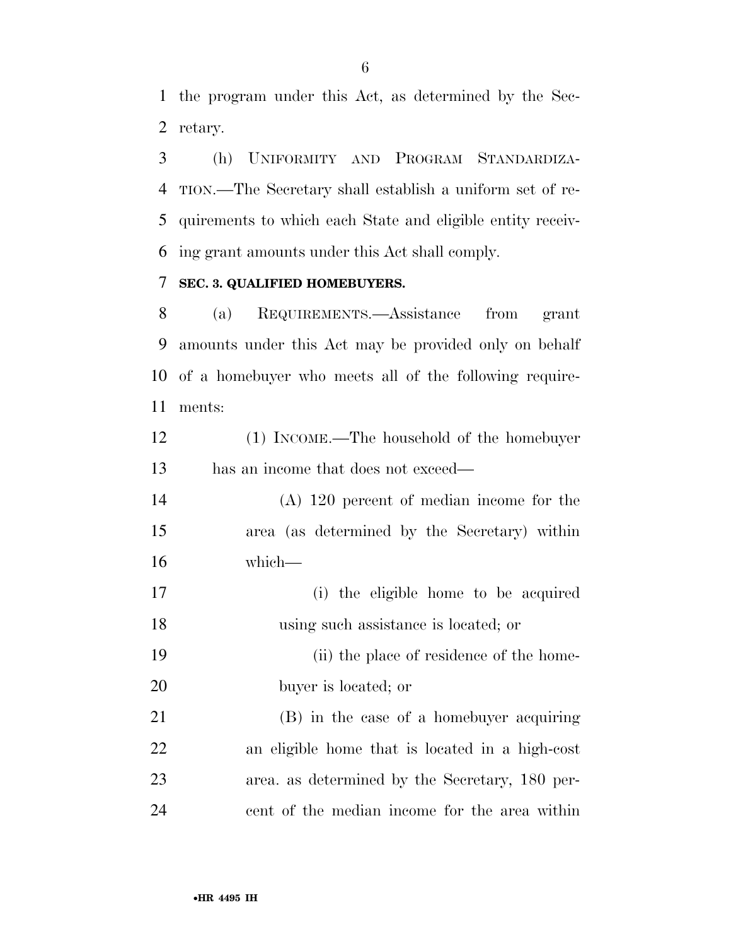the program under this Act, as determined by the Sec-retary.

 (h) UNIFORMITY AND PROGRAM STANDARDIZA- TION.—The Secretary shall establish a uniform set of re- quirements to which each State and eligible entity receiv-ing grant amounts under this Act shall comply.

# **SEC. 3. QUALIFIED HOMEBUYERS.**

 (a) REQUIREMENTS.—Assistance from grant amounts under this Act may be provided only on behalf of a homebuyer who meets all of the following require-ments:

| 12 | (1) INCOME.—The household of the homebuyer |
|----|--------------------------------------------|
| 13 | has an income that does not exceed—        |

 (A) 120 percent of median income for the area (as determined by the Secretary) within which—

 (i) the eligible home to be acquired using such assistance is located; or

 (ii) the place of residence of the home-buyer is located; or

 (B) in the case of a homebuyer acquiring an eligible home that is located in a high-cost area. as determined by the Secretary, 180 per-cent of the median income for the area within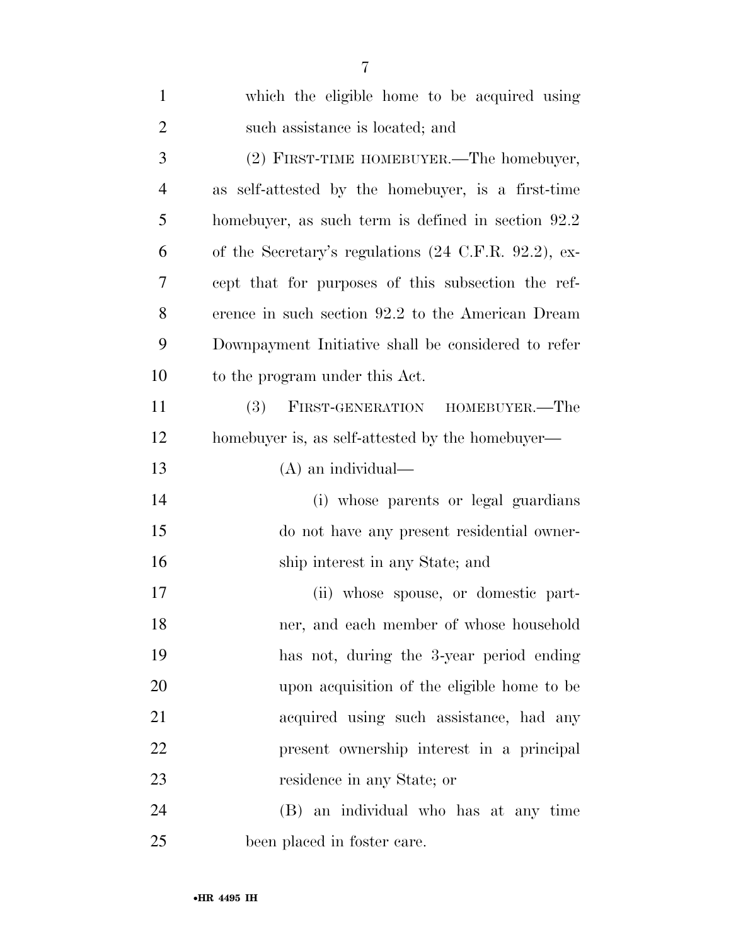| $\mathbf{1}$   | which the eligible home to be acquired using                     |
|----------------|------------------------------------------------------------------|
| $\overline{2}$ | such assistance is located; and                                  |
| 3              | (2) FIRST-TIME HOMEBUYER.—The homebuyer,                         |
| $\overline{4}$ | as self-attested by the homebuyer, is a first-time               |
| 5              | homebuyer, as such term is defined in section 92.2               |
| 6              | of the Secretary's regulations $(24 \text{ C.F.R. } 92.2)$ , ex- |
| 7              | cept that for purposes of this subsection the ref-               |
| 8              | erence in such section 92.2 to the American Dream                |
| 9              | Downpayment Initiative shall be considered to refer              |
| 10             | to the program under this Act.                                   |
| 11             | (3)<br>FIRST-GENERATION HOMEBUYER.—The                           |
| 12             | homebuyer is, as self-attested by the homebuyer—                 |
| 13             | $(A)$ an individual—                                             |
| 14             | (i) whose parents or legal guardians                             |
| 15             | do not have any present residential owner-                       |
| 16             | ship interest in any State; and                                  |
| 17             | (ii) whose spouse, or domestic part-                             |
| 18             | ner, and each member of whose household                          |
| 19             | has not, during the 3-year period ending                         |
| 20             | upon acquisition of the eligible home to be                      |
| 21             | acquired using such assistance, had any                          |
| 22             | present ownership interest in a principal                        |
| 23             | residence in any State; or                                       |
| 24             | (B) an individual who has at any time                            |
| 25             | been placed in foster care.                                      |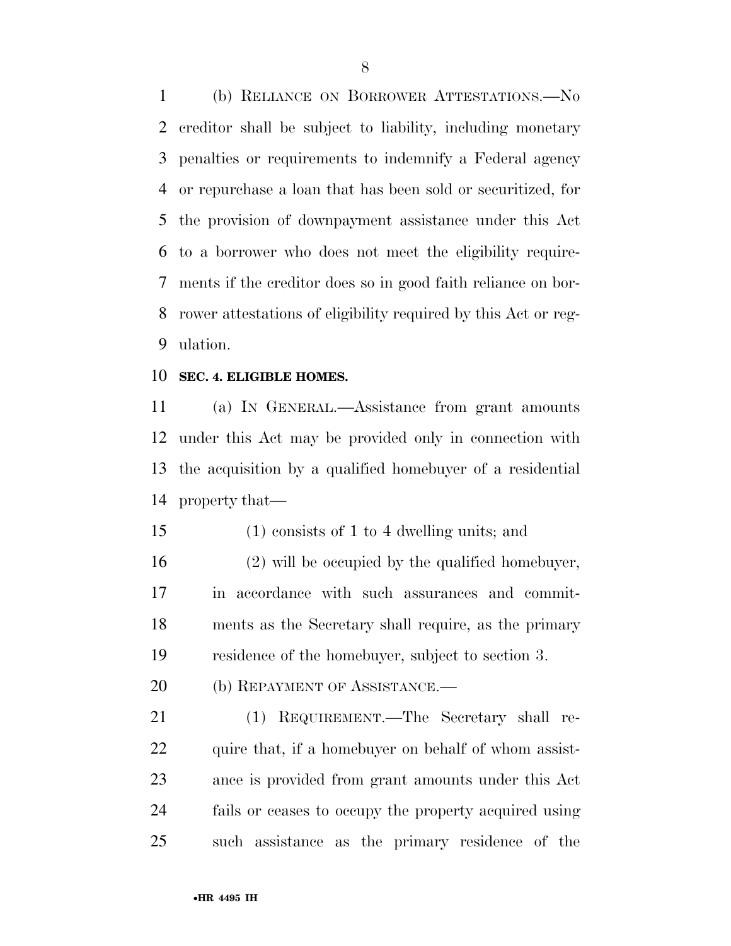(b) RELIANCE ON BORROWER ATTESTATIONS.—No creditor shall be subject to liability, including monetary penalties or requirements to indemnify a Federal agency or repurchase a loan that has been sold or securitized, for the provision of downpayment assistance under this Act to a borrower who does not meet the eligibility require- ments if the creditor does so in good faith reliance on bor- rower attestations of eligibility required by this Act or reg-ulation.

### **SEC. 4. ELIGIBLE HOMES.**

 (a) IN GENERAL.—Assistance from grant amounts under this Act may be provided only in connection with the acquisition by a qualified homebuyer of a residential property that—

(1) consists of 1 to 4 dwelling units; and

 (2) will be occupied by the qualified homebuyer, in accordance with such assurances and commit- ments as the Secretary shall require, as the primary residence of the homebuyer, subject to section 3.

20 (b) REPAYMENT OF ASSISTANCE.—

 (1) REQUIREMENT.—The Secretary shall re-22 quire that, if a homebuyer on behalf of whom assist- ance is provided from grant amounts under this Act fails or ceases to occupy the property acquired using such assistance as the primary residence of the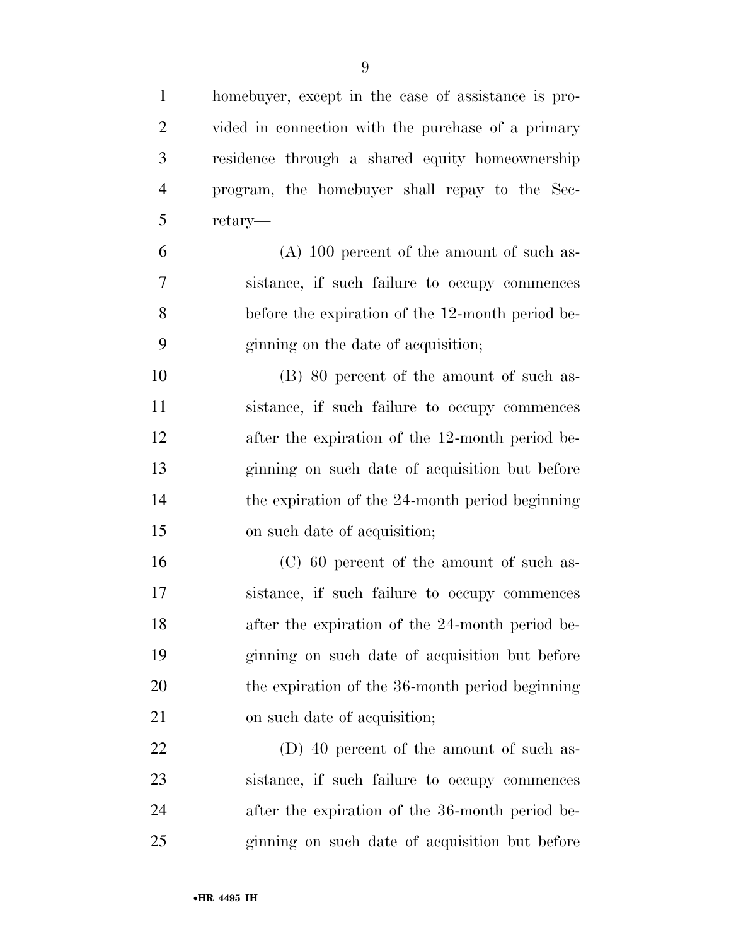| $\mathbf{1}$   | homebuyer, except in the case of assistance is pro- |
|----------------|-----------------------------------------------------|
| $\overline{2}$ | vided in connection with the purchase of a primary  |
| 3              | residence through a shared equity homeownership     |
| $\overline{4}$ | program, the homebuyer shall repay to the Sec-      |
| 5              | retary-                                             |
| 6              | $(A)$ 100 percent of the amount of such as-         |
| 7              | sistance, if such failure to occupy commences       |
| 8              | before the expiration of the 12-month period be-    |
| 9              | ginning on the date of acquisition;                 |
| 10             | (B) 80 percent of the amount of such as-            |
| 11             | sistance, if such failure to occupy commences       |
| 12             | after the expiration of the 12-month period be-     |
| 13             | ginning on such date of acquisition but before      |
| 14             | the expiration of the 24-month period beginning     |
| 15             | on such date of acquisition;                        |
| 16             | (C) 60 percent of the amount of such as-            |
| 17             | sistance, if such failure to occupy commences       |
| 18             | after the expiration of the 24-month period be-     |
| 19             | ginning on such date of acquisition but before      |
| 20             | the expiration of the 36-month period beginning     |
| 21             | on such date of acquisition;                        |
| 22             | (D) 40 percent of the amount of such as-            |
| 23             | sistance, if such failure to occupy commences       |
| 24             | after the expiration of the 36-month period be-     |
| 25             | ginning on such date of acquisition but before      |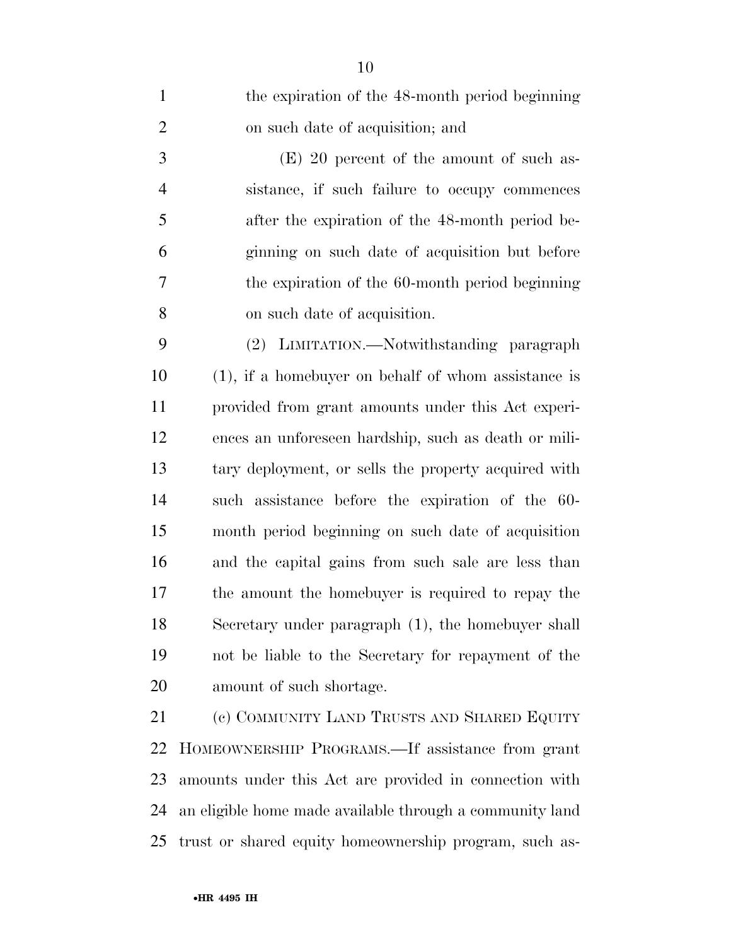| $\mathbf{1}$   | the expiration of the 48-month period beginning        |
|----------------|--------------------------------------------------------|
| $\overline{2}$ | on such date of acquisition; and                       |
| 3              | $(E)$ 20 percent of the amount of such as-             |
| $\overline{4}$ | sistance, if such failure to occupy commences          |
| 5              | after the expiration of the 48-month period be-        |
| 6              | ginning on such date of acquisition but before         |
| $\overline{7}$ | the expiration of the 60-month period beginning        |
| 8              | on such date of acquisition.                           |
| 9              | (2) LIMITATION.—Notwithstanding paragraph              |
| 10             | $(1)$ , if a homebuyer on behalf of whom assistance is |
| 11             | provided from grant amounts under this Act experi-     |
| 12             | ences an unforeseen hardship, such as death or mili-   |
| 13             | tary deployment, or sells the property acquired with   |
| 14             | such assistance before the expiration of the 60-       |
| 15             | month period beginning on such date of acquisition     |
| 16             | and the capital gains from such sale are less than     |
| 17             | the amount the homebuyer is required to repay the      |
| 18             | Secretary under paragraph (1), the homebuyer shall     |
| 19             | not be liable to the Secretary for repayment of the    |
| 20             | amount of such shortage.                               |
| 21             | (c) COMMUNITY LAND TRUSTS AND SHARED EQUITY            |
| 22             | HOMEOWNERSHIP PROGRAMS.—If assistance from grant       |
| 23             | amounts under this Act are provided in connection with |

 an eligible home made available through a community land trust or shared equity homeownership program, such as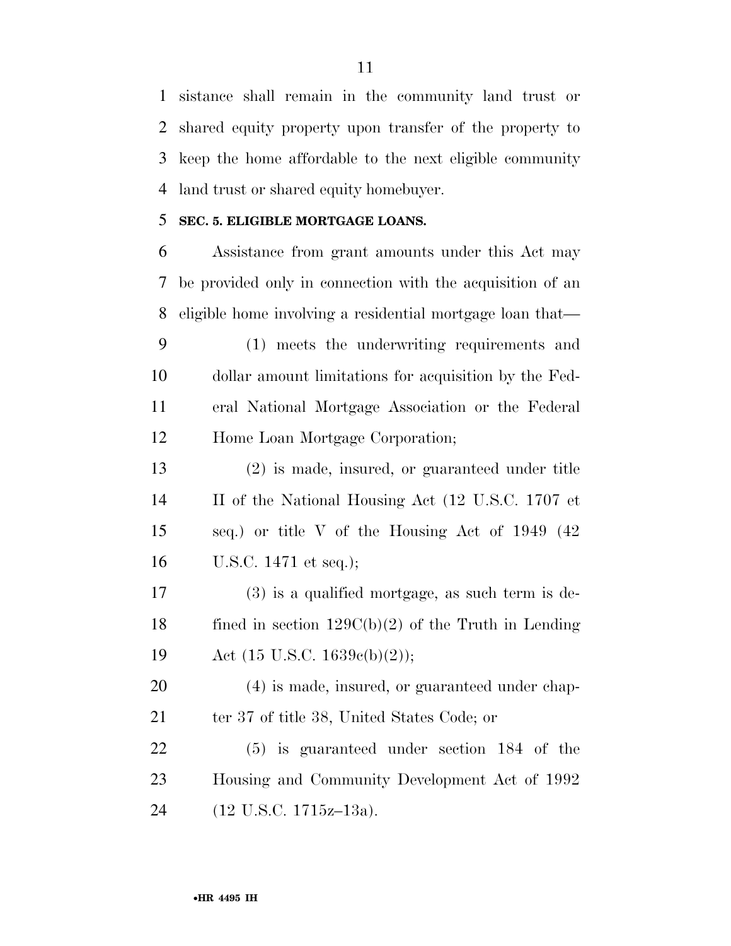sistance shall remain in the community land trust or shared equity property upon transfer of the property to keep the home affordable to the next eligible community land trust or shared equity homebuyer.

# **SEC. 5. ELIGIBLE MORTGAGE LOANS.**

 Assistance from grant amounts under this Act may be provided only in connection with the acquisition of an eligible home involving a residential mortgage loan that—

 (1) meets the underwriting requirements and dollar amount limitations for acquisition by the Fed- eral National Mortgage Association or the Federal Home Loan Mortgage Corporation;

 (2) is made, insured, or guaranteed under title II of the National Housing Act (12 U.S.C. 1707 et seq.) or title V of the Housing Act of 1949 (42 U.S.C. 1471 et seq.);

 (3) is a qualified mortgage, as such term is de-18 fined in section  $129C(b)(2)$  of the Truth in Lending Act (15 U.S.C. 1639c(b)(2));

 (4) is made, insured, or guaranteed under chap-21 ter 37 of title 38, United States Code; or

 (5) is guaranteed under section 184 of the Housing and Community Development Act of 1992 (12 U.S.C. 1715z–13a).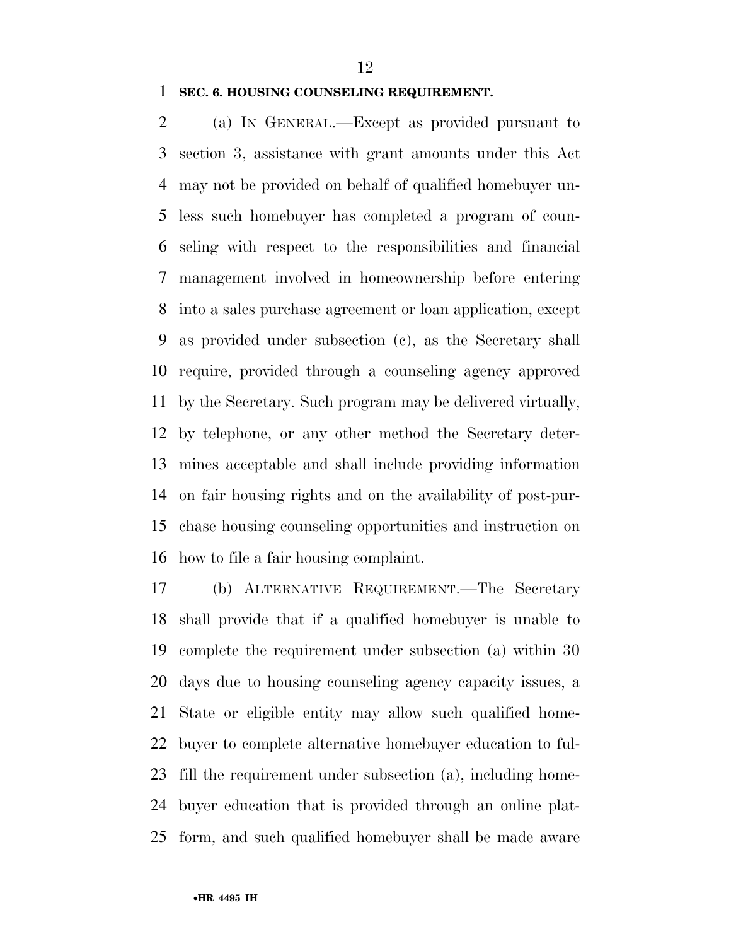### **SEC. 6. HOUSING COUNSELING REQUIREMENT.**

 (a) IN GENERAL.—Except as provided pursuant to section 3, assistance with grant amounts under this Act may not be provided on behalf of qualified homebuyer un- less such homebuyer has completed a program of coun- seling with respect to the responsibilities and financial management involved in homeownership before entering into a sales purchase agreement or loan application, except as provided under subsection (c), as the Secretary shall require, provided through a counseling agency approved by the Secretary. Such program may be delivered virtually, by telephone, or any other method the Secretary deter- mines acceptable and shall include providing information on fair housing rights and on the availability of post-pur- chase housing counseling opportunities and instruction on how to file a fair housing complaint.

 (b) ALTERNATIVE REQUIREMENT.—The Secretary shall provide that if a qualified homebuyer is unable to complete the requirement under subsection (a) within 30 days due to housing counseling agency capacity issues, a State or eligible entity may allow such qualified home- buyer to complete alternative homebuyer education to ful- fill the requirement under subsection (a), including home- buyer education that is provided through an online plat-form, and such qualified homebuyer shall be made aware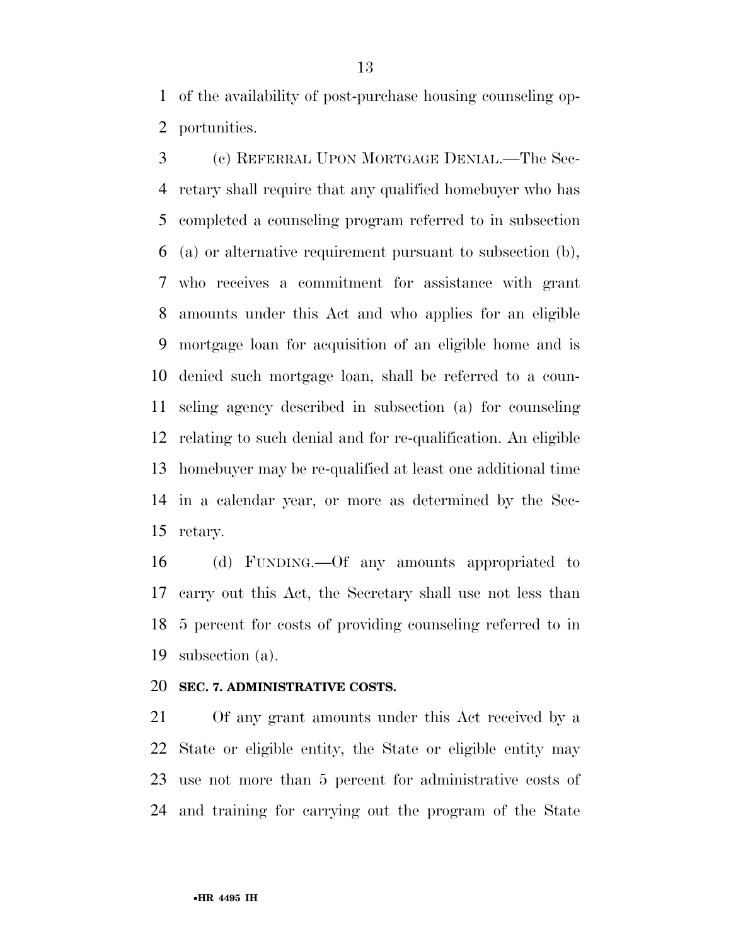of the availability of post-purchase housing counseling op-portunities.

 (c) REFERRAL UPON MORTGAGE DENIAL.—The Sec- retary shall require that any qualified homebuyer who has completed a counseling program referred to in subsection (a) or alternative requirement pursuant to subsection (b), who receives a commitment for assistance with grant amounts under this Act and who applies for an eligible mortgage loan for acquisition of an eligible home and is denied such mortgage loan, shall be referred to a coun- seling agency described in subsection (a) for counseling relating to such denial and for re-qualification. An eligible homebuyer may be re-qualified at least one additional time in a calendar year, or more as determined by the Sec-retary.

 (d) FUNDING.—Of any amounts appropriated to carry out this Act, the Secretary shall use not less than 5 percent for costs of providing counseling referred to in subsection (a).

# **SEC. 7. ADMINISTRATIVE COSTS.**

 Of any grant amounts under this Act received by a State or eligible entity, the State or eligible entity may use not more than 5 percent for administrative costs of and training for carrying out the program of the State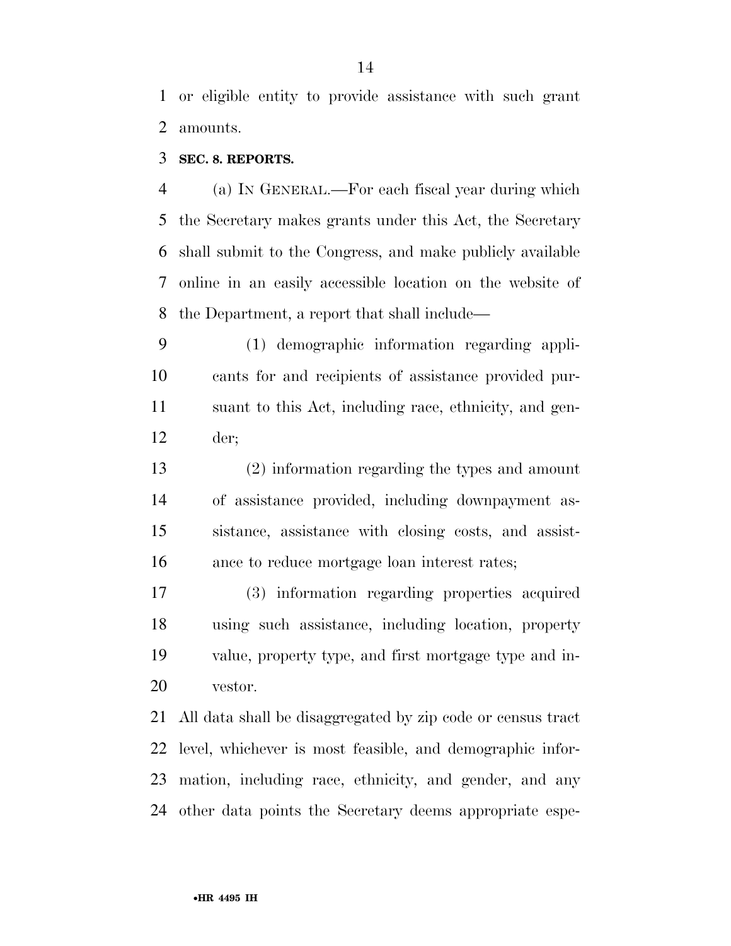or eligible entity to provide assistance with such grant amounts.

# **SEC. 8. REPORTS.**

 (a) IN GENERAL.—For each fiscal year during which the Secretary makes grants under this Act, the Secretary shall submit to the Congress, and make publicly available online in an easily accessible location on the website of the Department, a report that shall include—

 (1) demographic information regarding appli- cants for and recipients of assistance provided pur- suant to this Act, including race, ethnicity, and gen-der;

 (2) information regarding the types and amount of assistance provided, including downpayment as- sistance, assistance with closing costs, and assist-ance to reduce mortgage loan interest rates;

 (3) information regarding properties acquired using such assistance, including location, property value, property type, and first mortgage type and in-vestor.

 All data shall be disaggregated by zip code or census tract level, whichever is most feasible, and demographic infor- mation, including race, ethnicity, and gender, and any other data points the Secretary deems appropriate espe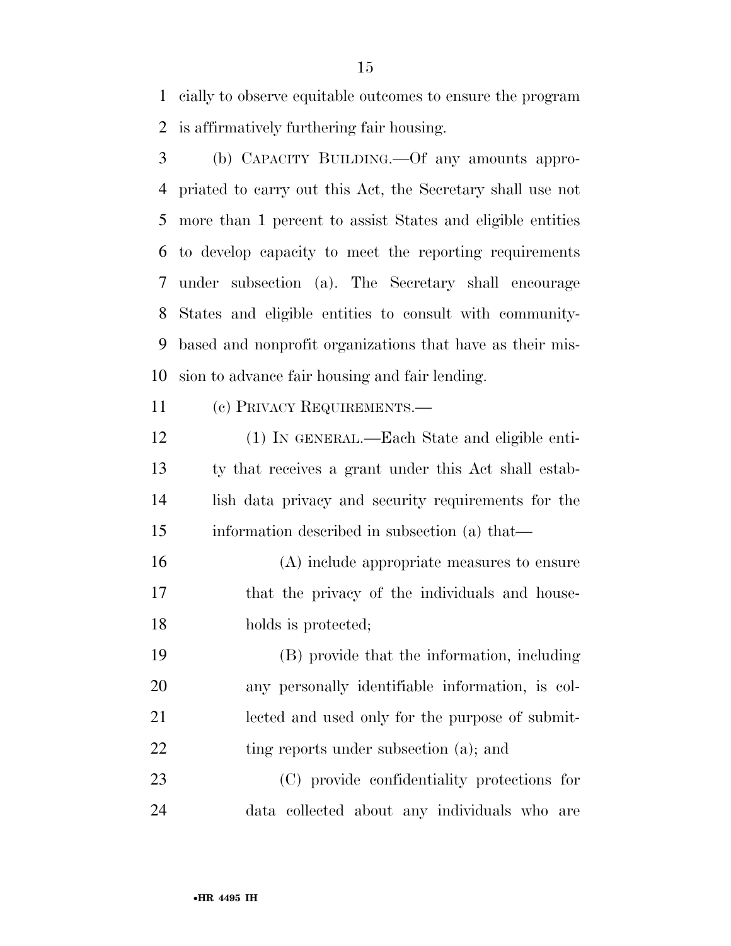cially to observe equitable outcomes to ensure the program is affirmatively furthering fair housing.

 (b) CAPACITY BUILDING.—Of any amounts appro- priated to carry out this Act, the Secretary shall use not more than 1 percent to assist States and eligible entities to develop capacity to meet the reporting requirements under subsection (a). The Secretary shall encourage States and eligible entities to consult with community- based and nonprofit organizations that have as their mis-sion to advance fair housing and fair lending.

(c) PRIVACY REQUIREMENTS.—

 (1) IN GENERAL.—Each State and eligible enti- ty that receives a grant under this Act shall estab- lish data privacy and security requirements for the information described in subsection (a) that—

 (A) include appropriate measures to ensure that the privacy of the individuals and house-18 holds is protected;

 (B) provide that the information, including any personally identifiable information, is col- lected and used only for the purpose of submit-22 ting reports under subsection (a); and

 (C) provide confidentiality protections for data collected about any individuals who are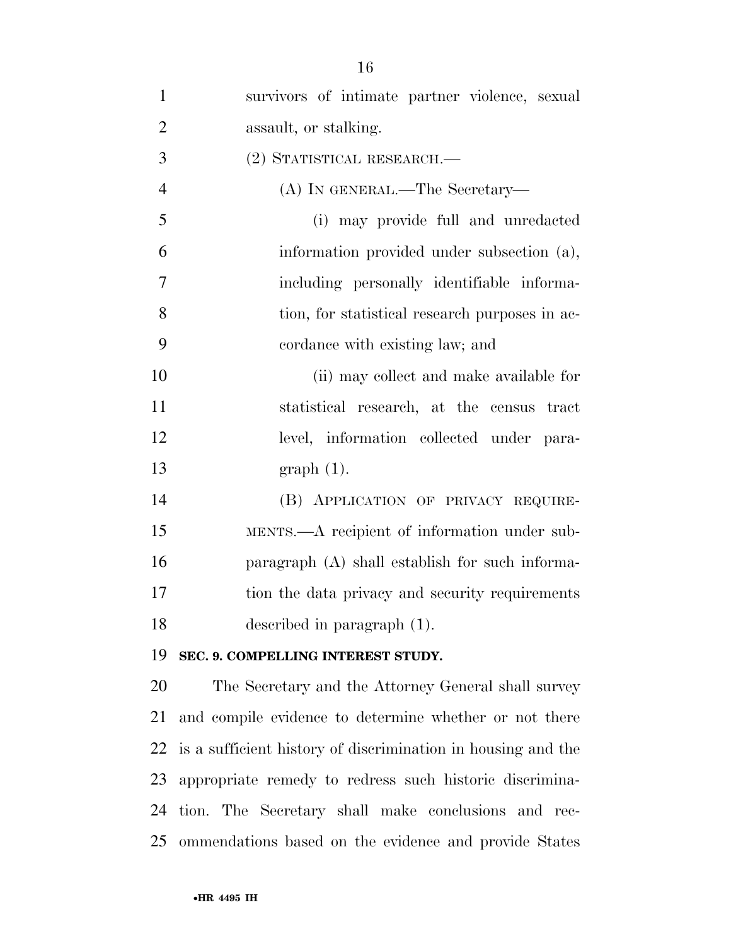| $\mathbf{1}$   | survivors of intimate partner violence, sexual               |
|----------------|--------------------------------------------------------------|
| $\overline{2}$ | assault, or stalking.                                        |
| 3              | (2) STATISTICAL RESEARCH.—                                   |
| $\overline{4}$ | (A) IN GENERAL.—The Secretary—                               |
| 5              | (i) may provide full and unredacted                          |
| 6              | information provided under subsection (a),                   |
| $\overline{7}$ | including personally identifiable informa-                   |
| 8              | tion, for statistical research purposes in ac-               |
| 9              | cordance with existing law; and                              |
| 10             | (ii) may collect and make available for                      |
| 11             | statistical research, at the census tract                    |
| 12             | level, information collected under para-                     |
| 13             | $graph(1)$ .                                                 |
| 14             | (B) APPLICATION OF PRIVACY REQUIRE-                          |
| 15             | MENTS.—A recipient of information under sub-                 |
| 16             | paragraph (A) shall establish for such informa-              |
| 17             | tion the data privacy and security requirements              |
| 18             | described in paragraph (1).                                  |
| 19             | SEC. 9. COMPELLING INTEREST STUDY.                           |
| 20             | The Secretary and the Attorney General shall survey          |
| 21             | and compile evidence to determine whether or not there       |
| 22             | is a sufficient history of discrimination in housing and the |
| 23             | appropriate remedy to redress such historic discrimina-      |
| 24             | tion. The Secretary shall make conclusions and rec-          |

ommendations based on the evidence and provide States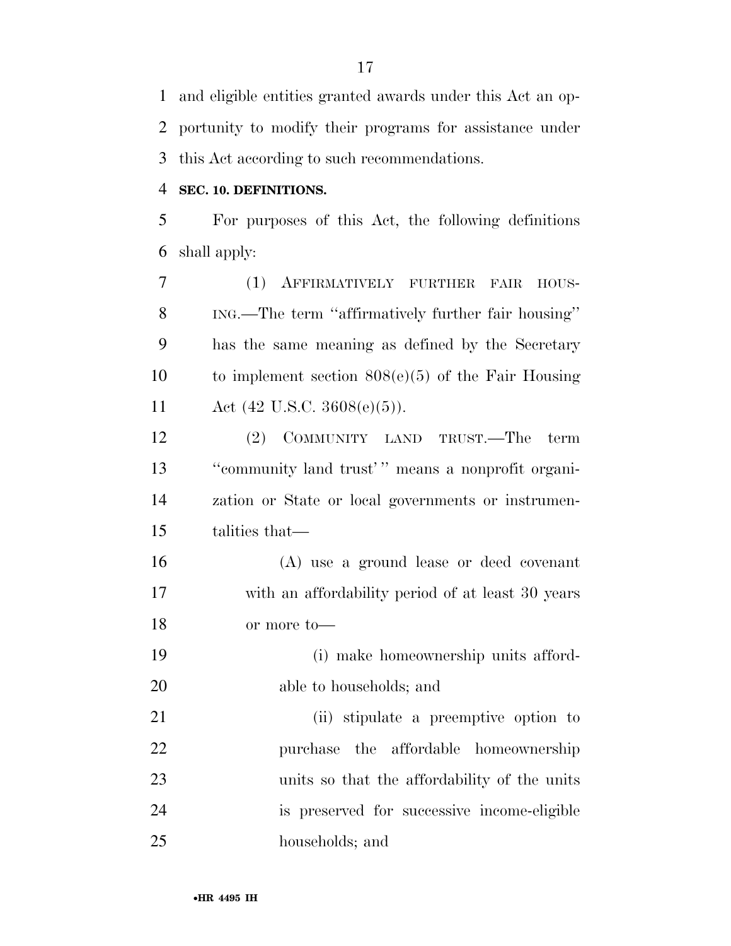and eligible entities granted awards under this Act an op- portunity to modify their programs for assistance under this Act according to such recommendations.

### **SEC. 10. DEFINITIONS.**

 For purposes of this Act, the following definitions shall apply:

 (1) AFFIRMATIVELY FURTHER FAIR HOUS- ING.—The term ''affirmatively further fair housing'' has the same meaning as defined by the Secretary to implement section 808(e)(5) of the Fair Housing Act (42 U.S.C. 3608(e)(5)).

 (2) COMMUNITY LAND TRUST.—The term ''community land trust' '' means a nonprofit organi- zation or State or local governments or instrumen-talities that—

 (A) use a ground lease or deed covenant with an affordability period of at least 30 years or more to—

 (i) make homeownership units afford-able to households; and

 (ii) stipulate a preemptive option to purchase the affordable homeownership units so that the affordability of the units is preserved for successive income-eligible households; and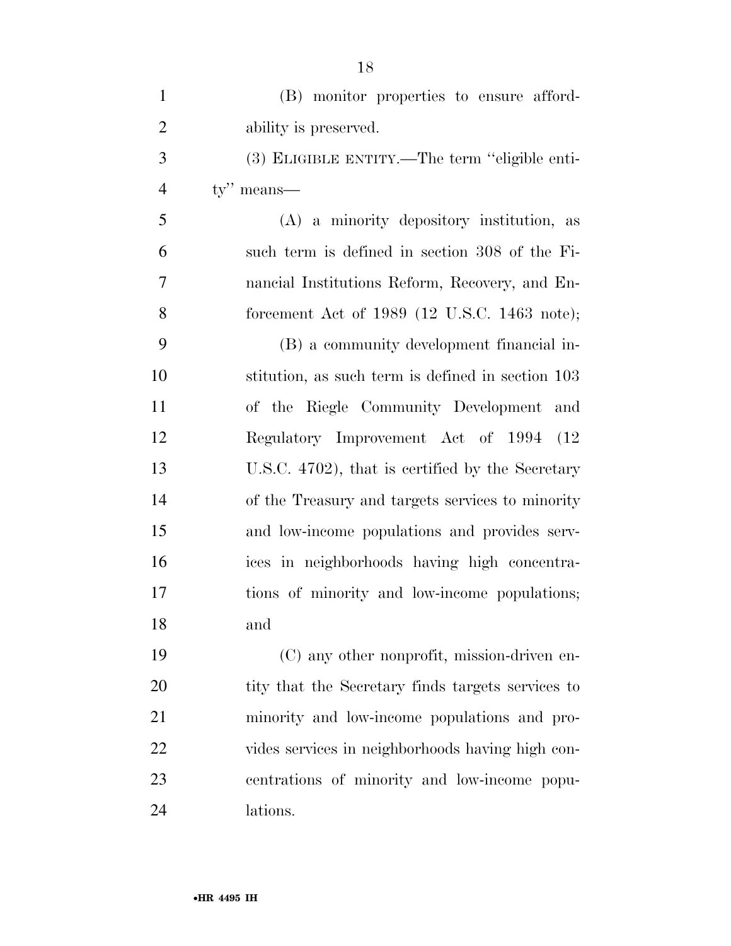| $\mathbf{1}$   | (B) monitor properties to ensure afford-                        |
|----------------|-----------------------------------------------------------------|
| $\overline{2}$ | ability is preserved.                                           |
| 3              | (3) ELIGIBLE ENTITY.—The term "eligible enti-                   |
| $\overline{4}$ | $ty''$ means—                                                   |
| 5              | (A) a minority depository institution, as                       |
| 6              | such term is defined in section 308 of the Fi-                  |
| 7              | nancial Institutions Reform, Recovery, and En-                  |
| 8              | forcement Act of 1989 $(12 \text{ U.S.C. } 1463 \text{ note});$ |
| 9              | (B) a community development financial in-                       |
| 10             | stitution, as such term is defined in section 103               |
| 11             | of the Riegle Community Development and                         |
| 12             | Regulatory Improvement Act of 1994 (12)                         |
| 13             | U.S.C. 4702), that is certified by the Secretary                |
| 14             | of the Treasury and targets services to minority                |
| 15             | and low-income populations and provides serv-                   |
| 16             | ices in neighborhoods having high concentra-                    |
| 17             | tions of minority and low-income populations;                   |
| 18             | and                                                             |
| 19             | (C) any other nonprofit, mission-driven en-                     |
| 20             | tity that the Secretary finds targets services to               |
| 21             | minority and low-income populations and pro-                    |
| 22             | vides services in neighborhoods having high con-                |
| 23             | centrations of minority and low-income popu-                    |
|                |                                                                 |
| 24             | lations.                                                        |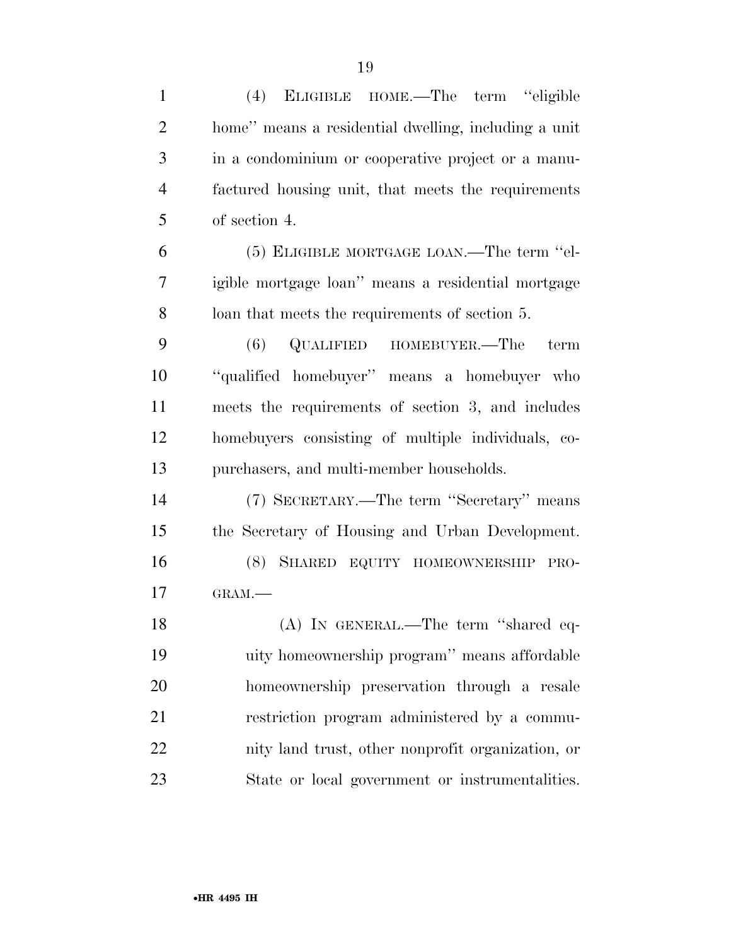| $\mathbf{1}$   | (4) ELIGIBLE HOME.—The term "eligible                |
|----------------|------------------------------------------------------|
| $\overline{2}$ | home" means a residential dwelling, including a unit |
| 3              | in a condominium or cooperative project or a manu-   |
| $\overline{4}$ | factured housing unit, that meets the requirements   |
| 5              | of section 4.                                        |
| 6              | (5) ELIGIBLE MORTGAGE LOAN.—The term "el-            |
| 7              | igible mortgage loan" means a residential mortgage   |
| 8              | loan that meets the requirements of section 5.       |
| 9              | QUALIFIED HOMEBUYER.—The<br>(6)<br>term              |
| 10             | "qualified homebuyer" means a homebuyer who          |
| 11             | meets the requirements of section 3, and includes    |
| 12             | homebuyers consisting of multiple individuals, co-   |
| 13             | purchasers, and multi-member households.             |
| 14             | (7) SECRETARY.—The term "Secretary" means            |
| 15             | the Secretary of Housing and Urban Development.      |
| 16             | (8) SHARED EQUITY HOMEOWNERSHIP<br>PRO-              |
| 17             | GRAM.-                                               |
| 18             | (A) IN GENERAL.—The term "shared eq-                 |
| 19             | uity homeownership program" means affordable         |
| 20             | homeownership preservation through a resale          |
| 21             | restriction program administered by a commu-         |
| 22             | nity land trust, other nonprofit organization, or    |
| 23             | State or local government or instrumentalities.      |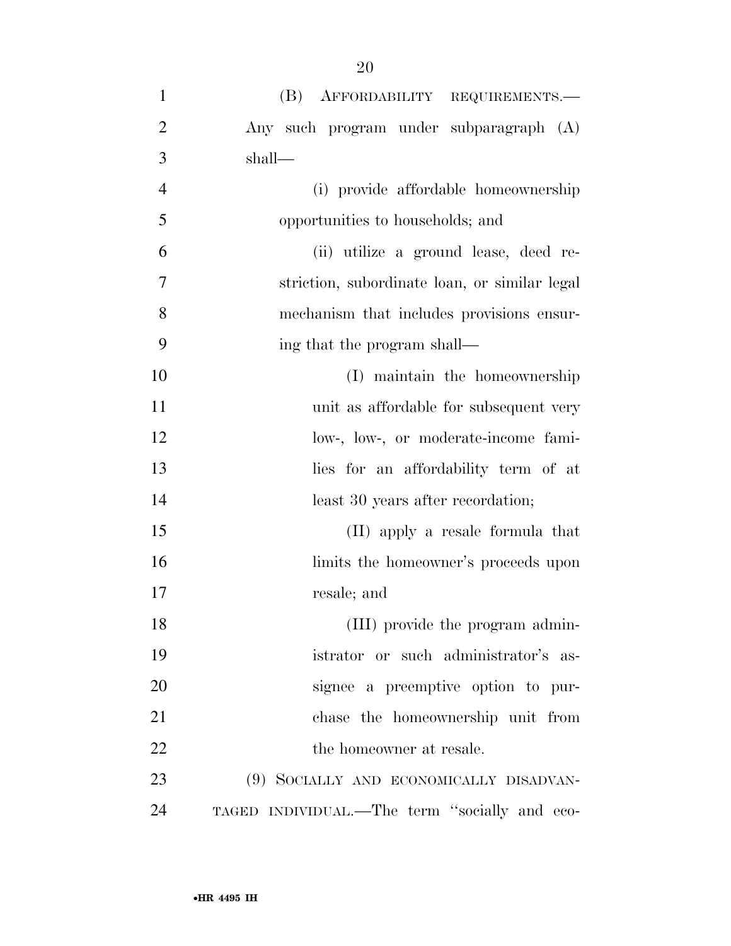| $\mathbf{1}$   | (B) AFFORDABILITY REQUIREMENTS.-              |
|----------------|-----------------------------------------------|
| $\overline{2}$ | Any such program under subparagraph (A)       |
| 3              | shall—                                        |
| $\overline{4}$ | (i) provide affordable homeownership          |
| 5              | opportunities to households; and              |
| 6              | (ii) utilize a ground lease, deed re-         |
| 7              | striction, subordinate loan, or similar legal |
| 8              | mechanism that includes provisions ensur-     |
| 9              | ing that the program shall—                   |
| 10             | (I) maintain the homeownership                |
| 11             | unit as affordable for subsequent very        |
| 12             | low-, low-, or moderate-income fami-          |
| 13             | lies for an affordability term of at          |
| 14             | least 30 years after recordation;             |
| 15             | (II) apply a resale formula that              |
| 16             | limits the homeowner's proceeds upon          |
| 17             | resale; and                                   |
| 18             | (III) provide the program admin-              |
| 19             | istrator or such administrator's as-          |
| 20             | signee a preemptive option to pur-            |
| 21             | chase the homeownership unit from             |
| 22             | the homeowner at resale.                      |
| 23             | (9) SOCIALLY AND ECONOMICALLY DISADVAN-       |
| 24             | TAGED INDIVIDUAL.—The term "socially and eco- |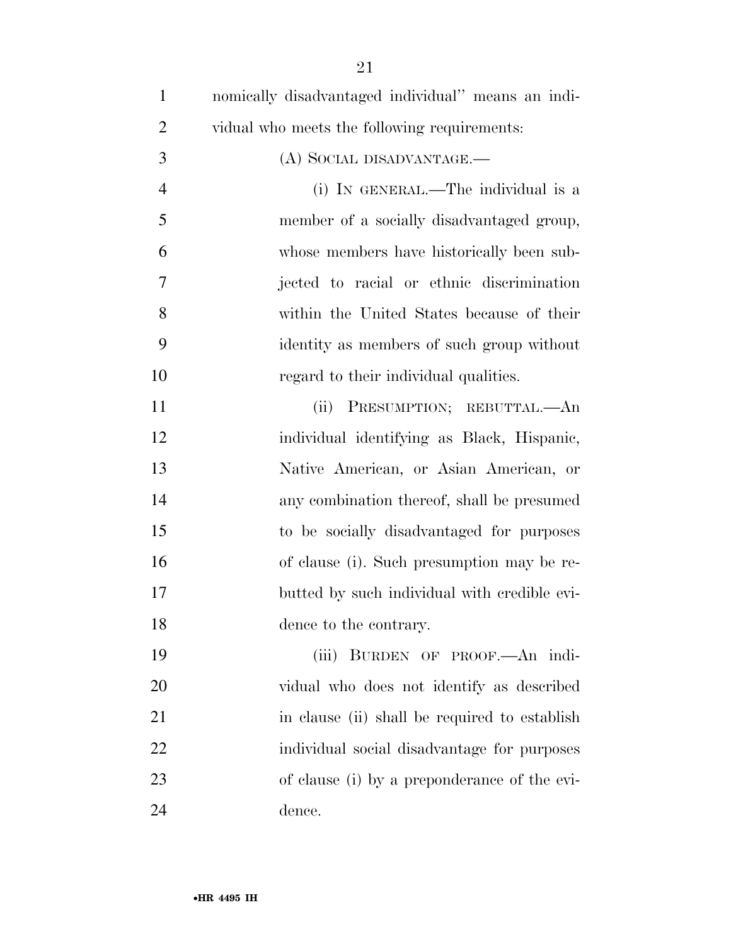| $\mathbf{1}$   | nomically disadvantaged individual" means an indi- |
|----------------|----------------------------------------------------|
| $\overline{2}$ | vidual who meets the following requirements:       |
| 3              | (A) SOCIAL DISADVANTAGE.—                          |
| $\overline{4}$ | (i) IN GENERAL.—The individual is a                |
| 5              | member of a socially disadvantaged group,          |
| 6              | whose members have historically been sub-          |
| 7              | jected to racial or ethnic discrimination          |
| 8              | within the United States because of their          |
| 9              | identity as members of such group without          |
| 10             | regard to their individual qualities.              |
| 11             | PRESUMPTION; REBUTTAL.- An<br>(ii)                 |
| 12             | individual identifying as Black, Hispanic,         |
| 13             | Native American, or Asian American, or             |
| 14             | any combination thereof, shall be presumed         |
| 15             | to be socially disadvantaged for purposes          |
| 16             | of clause (i). Such presumption may be re-         |
| 17             | butted by such individual with credible evi-       |
| 18             | dence to the contrary.                             |
| 19             | (iii) BURDEN OF PROOF.—An indi-                    |
| 20             | vidual who does not identify as described          |
| 21             | in clause (ii) shall be required to establish      |
| 22             | individual social disadvantage for purposes        |
| 23             | of clause (i) by a preponderance of the evi-       |
| 24             | dence.                                             |